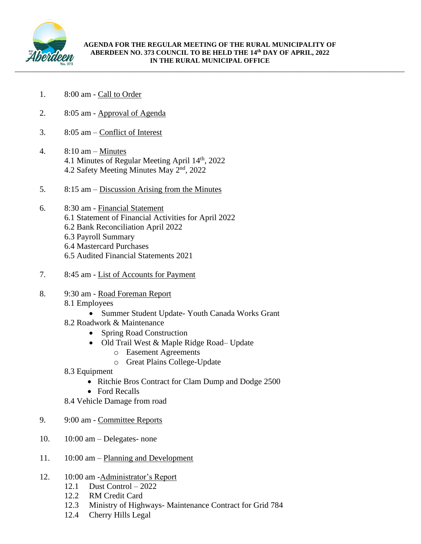

- 1. 8:00 am Call to Order
- 2. 8:05 am Approval of Agenda
- 3. 8:05 am Conflict of Interest
- 4.  $8:10 \text{ am} \text{Minutes}$ 4.1 Minutes of Regular Meeting April 14<sup>th</sup>, 2022 4.2 Safety Meeting Minutes May 2nd, 2022
- 5. 8:15 am Discussion Arising from the Minutes

## 6. 8:30 am - Financial Statement

- 6.1 Statement of Financial Activities for April 2022
- 6.2 Bank Reconciliation April 2022
- 6.3 Payroll Summary
- 6.4 Mastercard Purchases
- 6.5 Audited Financial Statements 2021
- 7. 8:45 am List of Accounts for Payment
- 8. 9:30 am Road Foreman Report 8.1 Employees
	- Summer Student Update- Youth Canada Works Grant
	- 8.2 Roadwork & Maintenance
		- Spring Road Construction
		- Old Trail West & Maple Ridge Road– Update
			- o Easement Agreements
			- o Great Plains College-Update
	- 8.3 Equipment
		- Ritchie Bros Contract for Clam Dump and Dodge 2500
		- Ford Recalls
	- 8.4 Vehicle Damage from road
- 9. 9:00 am Committee Reports
- 10. 10:00 am Delegates- none
- 11. 10:00 am Planning and Development
- 12. 10:00 am -Administrator's Report
	- 12.1 Dust Control 2022
	- 12.2 RM Credit Card
	- 12.3 Ministry of Highways- Maintenance Contract for Grid 784
	- 12.4 Cherry Hills Legal